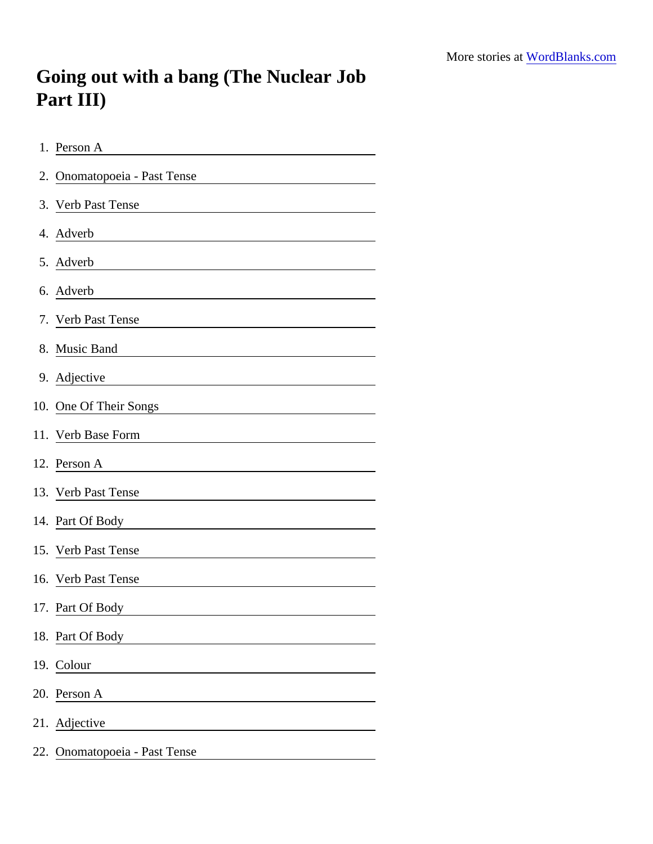## Going out with a bang (The Nuclear Job Part III)

| 1. Person A                                     |
|-------------------------------------------------|
| 2. Onomatopoeia - Past Tense                    |
| 3. Verb Past Tense                              |
| 4. Adverb                                       |
| 5. Adverb                                       |
| 6. Adverb                                       |
| 7. Verb Past Tense                              |
| 8. Music Band                                   |
| 9. Adjective                                    |
| 10. One Of Their Songs                          |
| 11. Verb Base Form                              |
| 12. Person A                                    |
| 13. Verb Past Tense                             |
|                                                 |
| 15. Verb Past Tense                             |
| 16. Verb Past Tense                             |
| 17. Part Of Body                                |
| 18. Part Of Body                                |
| 19. Colour<br>the control of the control of the |
| 20. Person A                                    |
| 21. Adjective                                   |
| 22. Onomatopoeia - Past Tense                   |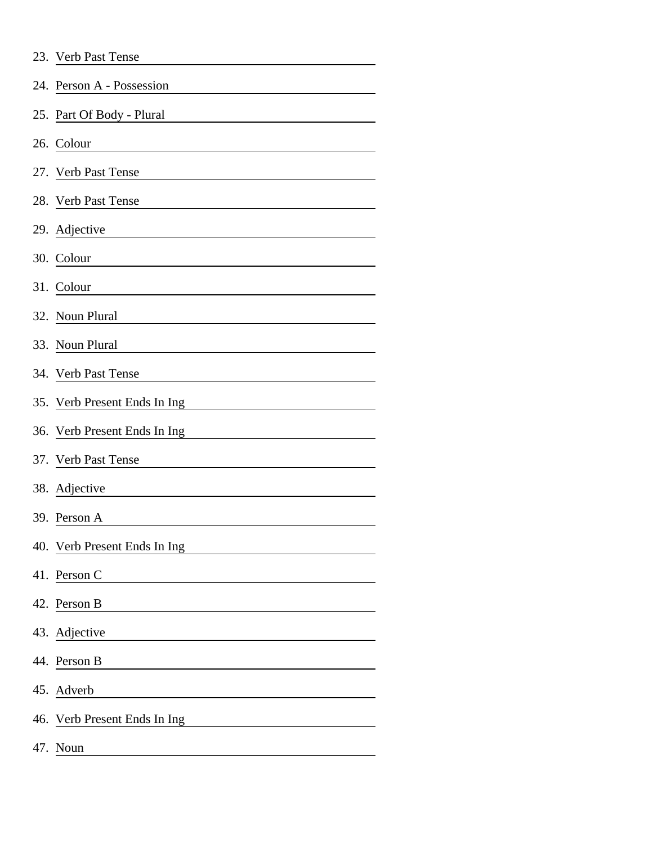|  | 23. Verb Past Tense |
|--|---------------------|
|  |                     |

| 24. Person A - Possession                                                                                                          |
|------------------------------------------------------------------------------------------------------------------------------------|
| 25. Part Of Body - Plural                                                                                                          |
| 26. Colour                                                                                                                         |
| 27. Verb Past Tense                                                                                                                |
| 28. Verb Past Tense                                                                                                                |
| 29. Adjective                                                                                                                      |
| 30. Colour                                                                                                                         |
| 31. Colour<br><u> 1980 - Johann Barn, mars ann an t-Amhain Aonaich an t-Aonaich an t-Aonaich ann an t-Aonaich ann an t-Aonaich</u> |
| 32. Noun Plural                                                                                                                    |
| 33. Noun Plural                                                                                                                    |
| 34. Verb Past Tense                                                                                                                |
| 35. Verb Present Ends In Ing                                                                                                       |
| 36. Verb Present Ends In Ing                                                                                                       |
| 37. Verb Past Tense                                                                                                                |
| 38. Adjective                                                                                                                      |
| 39. Person A                                                                                                                       |
| 40. Verb Present Ends In Ing                                                                                                       |
| 41. Person C                                                                                                                       |
| 42. Person B                                                                                                                       |
| 43. Adjective                                                                                                                      |
| 44. Person B                                                                                                                       |
| 45. Adverb                                                                                                                         |
| 46. Verb Present Ends In Ing                                                                                                       |
| 47. Noun                                                                                                                           |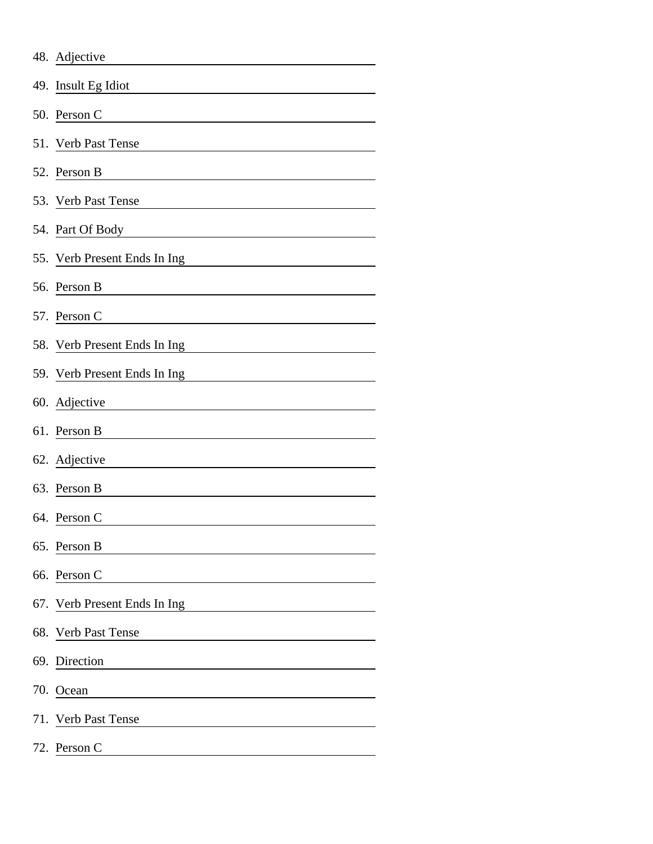|     | 48. Adjective                           |
|-----|-----------------------------------------|
|     | 49. Insult Eg Idiot                     |
|     | 50. Person C                            |
|     | 51. Verb Past Tense                     |
|     | 52. Person B                            |
|     | 53. Verb Past Tense                     |
|     | 54. Part Of Body                        |
|     | 55. Verb Present Ends In Ing            |
|     | 56. Person B                            |
|     | 57. Person C                            |
|     | 58. Verb Present Ends In Ing            |
|     | 59. Verb Present Ends In Ing            |
|     | 60. Adjective                           |
|     | 61. Person B                            |
|     | 62. Adjective                           |
|     | 63. Person B                            |
|     | 64. Person C                            |
|     | 65. Person B                            |
|     | 66. Person C                            |
|     | 67. Verb Present Ends In Ing            |
|     | 68. Verb Past Tense                     |
| 69. | Direction                               |
| 70. | Ocean                                   |
|     | 71. Verb Past Tense                     |
|     | 72. Person C<br><u> 1999 - Jan Jawa</u> |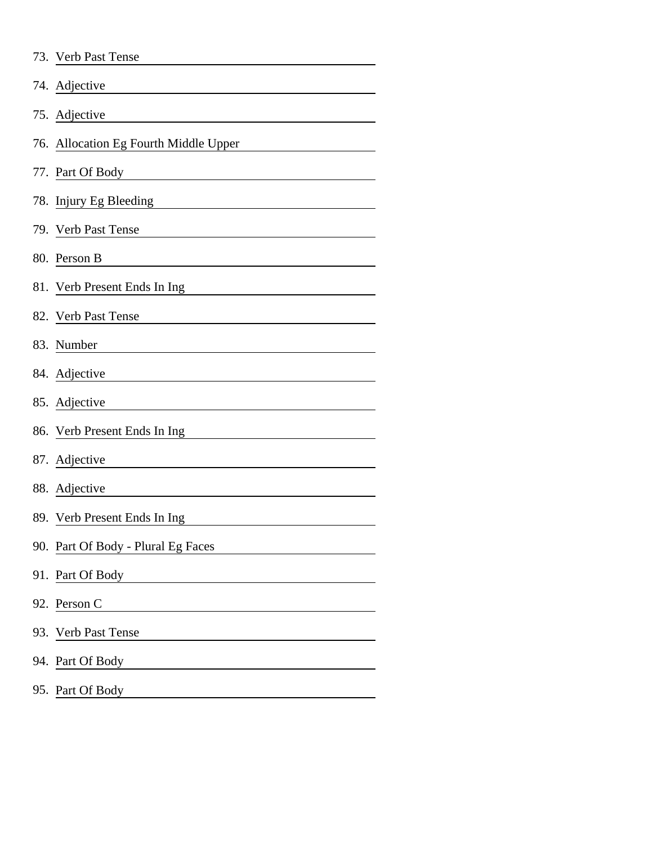| 73. Verb Past Tense                                                                            |
|------------------------------------------------------------------------------------------------|
| 74. Adjective                                                                                  |
| 75. Adjective                                                                                  |
| 76. Allocation Eg Fourth Middle Upper                                                          |
| 77. Part Of Body                                                                               |
| 78. Injury Eg Bleeding                                                                         |
| 79. Verb Past Tense                                                                            |
| 80. Person B                                                                                   |
| 81. Verb Present Ends In Ing                                                                   |
| 82. Verb Past Tense                                                                            |
| 83. Number                                                                                     |
| 84. Adjective                                                                                  |
| 85. Adjective                                                                                  |
| 86. Verb Present Ends In Ing                                                                   |
| 87. Adjective                                                                                  |
| 88. Adjective                                                                                  |
| 89. Verb Present Ends In Ing                                                                   |
| 90. Part Of Body - Plural Eg Faces                                                             |
| 91. Part Of Body<br><u> 1989 - Johann Harry Barn, mars ar breist fan de Fryske kommunent (</u> |
| 92. Person C<br><u> 1989 - Johann Barn, mars ann an t-Amhair an t-A</u>                        |
| 93. Verb Past Tense                                                                            |
| 94. Part Of Body                                                                               |
|                                                                                                |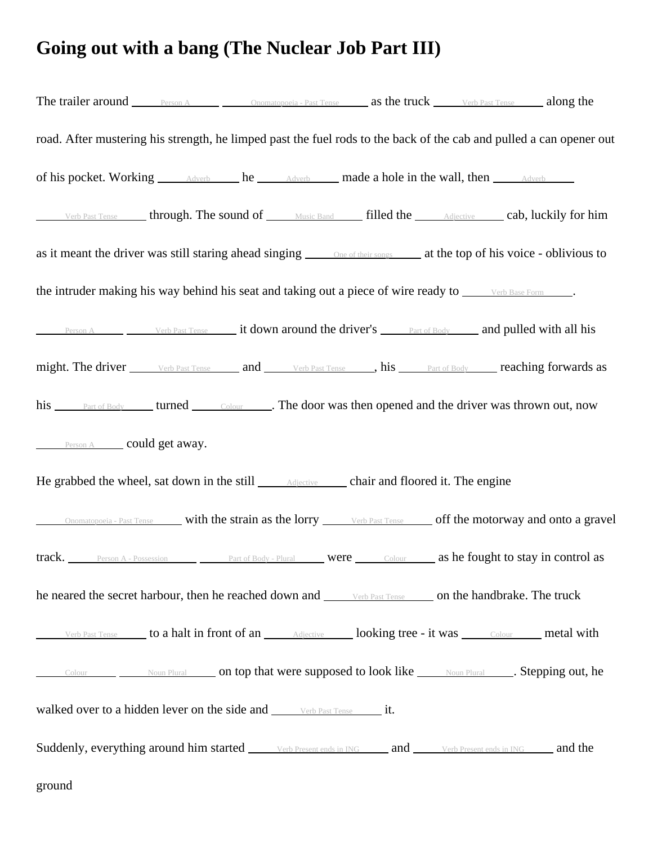## **Going out with a bang (The Nuclear Job Part III)**

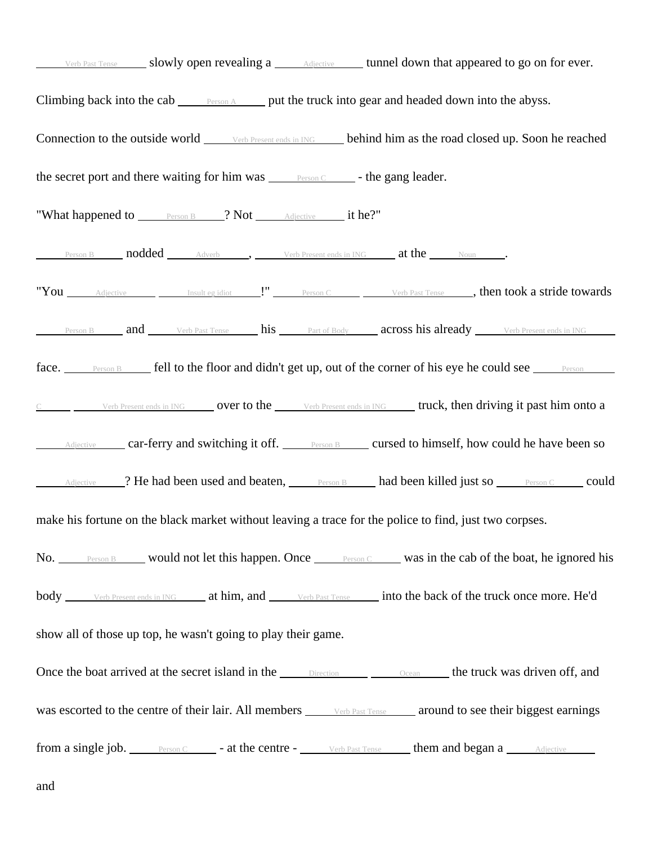| Verb Past Tense _______ slowly open revealing a _______ Adjective _______ tunnel down that appeared to go on for ever.                   |  |                                                                                                                   |
|------------------------------------------------------------------------------------------------------------------------------------------|--|-------------------------------------------------------------------------------------------------------------------|
| Climbing back into the cab <u>Person A</u> put the truck into gear and headed down into the abyss.                                       |  |                                                                                                                   |
|                                                                                                                                          |  | Connection to the outside world <u>verb Present ends in ING</u> behind him as the road closed up. Soon he reached |
| the secret port and there waiting for him was <u>Person C</u> - the gang leader.                                                         |  |                                                                                                                   |
| "What happened to <b>Person B</b> 2 Not Adjective it he?"                                                                                |  |                                                                                                                   |
| <b>Person B nodded</b> Adverb , Verb Present ends in ING <b>at the</b> Noun                                                              |  |                                                                                                                   |
|                                                                                                                                          |  | "You <i>Adjective Insult egidiot</i> Person C <i>Verb Past Tense</i> , then took a stride towards                 |
|                                                                                                                                          |  | Person B and Verb Past Tense his Part of Body across his already Verb Present ends in ING                         |
|                                                                                                                                          |  | face. Person B fell to the floor and didn't get up, out of the corner of his eye he could see <u>Person</u>       |
|                                                                                                                                          |  | C Verb Present ends in ING over to the verb Present ends in ING truck, then driving it past him onto a            |
|                                                                                                                                          |  | Adjective car-ferry and switching it off. Person B cursed to himself, how could he have been so                   |
|                                                                                                                                          |  | Adjective 2. He had been used and beaten, Person B had been killed just so Person C could                         |
| make his fortune on the black market without leaving a trace for the police to find, just two corpses.                                   |  |                                                                                                                   |
|                                                                                                                                          |  | No. Person B would not let this happen. Once Person C was in the cab of the boat, he ignored his                  |
| body verb Present ends in ING at him, and verb Past Tense into the back of the truck once more. He'd                                     |  |                                                                                                                   |
| show all of those up top, he wasn't going to play their game.                                                                            |  |                                                                                                                   |
| Once the boat arrived at the secret island in the <u>Direction Clean Clean</u> the truck was driven off, and                             |  |                                                                                                                   |
| was escorted to the centre of their lair. All members verb Past Tense around to see their biggest earnings                               |  |                                                                                                                   |
| <b>from a single job.</b> Person C <b>c - at the centre -</b> Verb Past Tense <b>comparished a control of them and began a</b> Adjective |  |                                                                                                                   |

and